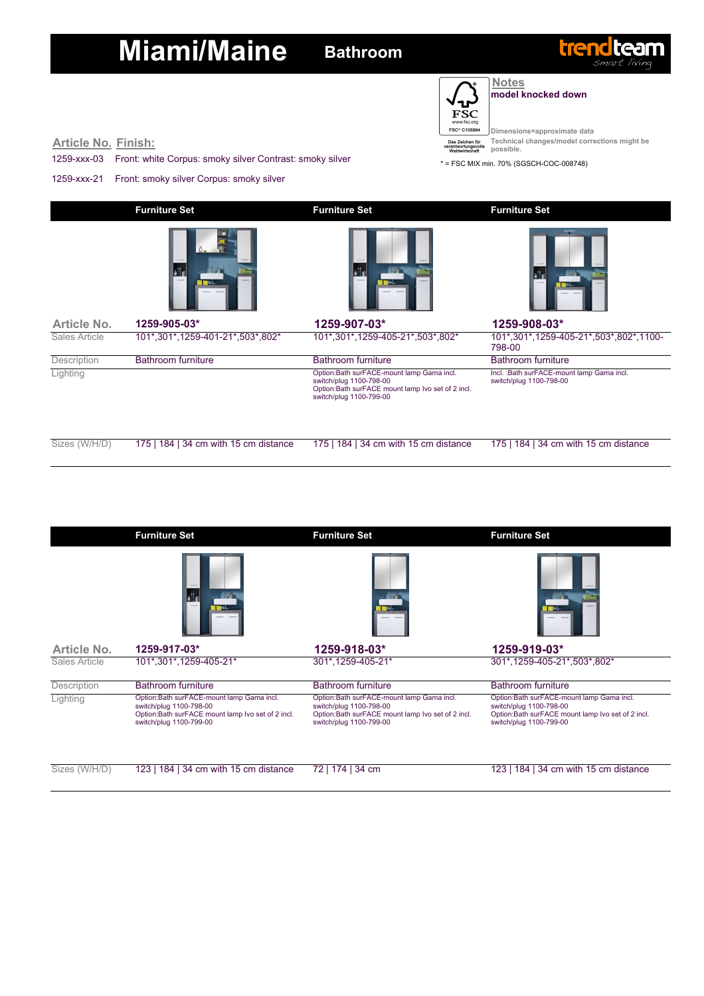

#### **Notes model knocked down**

trendtear

**Dimensions=approximate data Technical changes/model corrections might be possible.**

**Article No. Finish:**

1259-xxx-03 Front: white Corpus: smoky silver Contrast: smoky silver

1259-xxx-21 Front: smoky silver Corpus: smoky silver

\* = FSC MIX min. 70% (SGSCH-COC-008748)

|               | <b>Furniture Set</b>                  | <b>Furniture Set</b>                                                                                                                                   | <b>Furniture Set</b>                                                 |  |  |
|---------------|---------------------------------------|--------------------------------------------------------------------------------------------------------------------------------------------------------|----------------------------------------------------------------------|--|--|
|               |                                       |                                                                                                                                                        | laite                                                                |  |  |
| Article No.   | 1259-905-03*                          | 1259-907-03*                                                                                                                                           | 1259-908-03*                                                         |  |  |
| Sales Article | 101*,301*,1259-401-21*,503*,802*      | 101*,301*,1259-405-21*,503*,802*                                                                                                                       | 101*,301*,1259-405-21*,503*,802*,1100-<br>798-00                     |  |  |
| Description   | <b>Bathroom furniture</b>             | <b>Bathroom furniture</b>                                                                                                                              | <b>Bathroom furniture</b>                                            |  |  |
| Lighting      |                                       | Option: Bath surFACE-mount lamp Gama incl.<br>switch/plug 1100-798-00<br>Option: Bath surFACE mount lamp Ivo set of 2 incl.<br>switch/plug 1100-799-00 | Incl.: Bath surFACE-mount lamp Gama incl.<br>switch/plug 1100-798-00 |  |  |
| Sizes (W/H/D) | 175   184   34 cm with 15 cm distance | 175   184   34 cm with 15 cm distance                                                                                                                  | 184   34 cm with 15 cm distance<br>1751                              |  |  |

|               | <b>Furniture Set</b>                                                                                                                                 | <b>Furniture Set</b>                                                                                                                                  | <b>Furniture Set</b>                                                                                                                                   |
|---------------|------------------------------------------------------------------------------------------------------------------------------------------------------|-------------------------------------------------------------------------------------------------------------------------------------------------------|--------------------------------------------------------------------------------------------------------------------------------------------------------|
|               |                                                                                                                                                      |                                                                                                                                                       |                                                                                                                                                        |
| Article No.   | 1259-917-03*                                                                                                                                         | 1259-918-03*                                                                                                                                          | 1259-919-03*                                                                                                                                           |
| Sales Article | 101*,301*,1259-405-21*                                                                                                                               | 301*,1259-405-21*                                                                                                                                     | 301*,1259-405-21*,503*,802*                                                                                                                            |
| Description   | Bathroom furniture                                                                                                                                   | Bathroom furniture                                                                                                                                    | Bathroom furniture                                                                                                                                     |
| Lighting      | Option:Bath surFACE-mount lamp Gama incl.<br>switch/plug 1100-798-00<br>Option:Bath surFACE mount lamp Ivo set of 2 incl.<br>switch/plug 1100-799-00 | Option: Bath surFACE-mount lamp Gama incl.<br>switch/plug 1100-798-00<br>Option:Bath surFACE mount lamp Ivo set of 2 incl.<br>switch/plug 1100-799-00 | Option: Bath surFACE-mount lamp Gama incl.<br>switch/plug 1100-798-00<br>Option: Bath surFACE mount lamp Ivo set of 2 incl.<br>switch/plug 1100-799-00 |
| Sizes (W/H/D) | 123   184   34 cm with 15 cm distance                                                                                                                | 174   34 cm<br>72                                                                                                                                     | 123   184   34 cm with 15 cm distance                                                                                                                  |

| 1/D) | 123   184   34 cm with 15 cm distance $\frac{72}{174}$   34 cm |  |
|------|----------------------------------------------------------------|--|
|      |                                                                |  |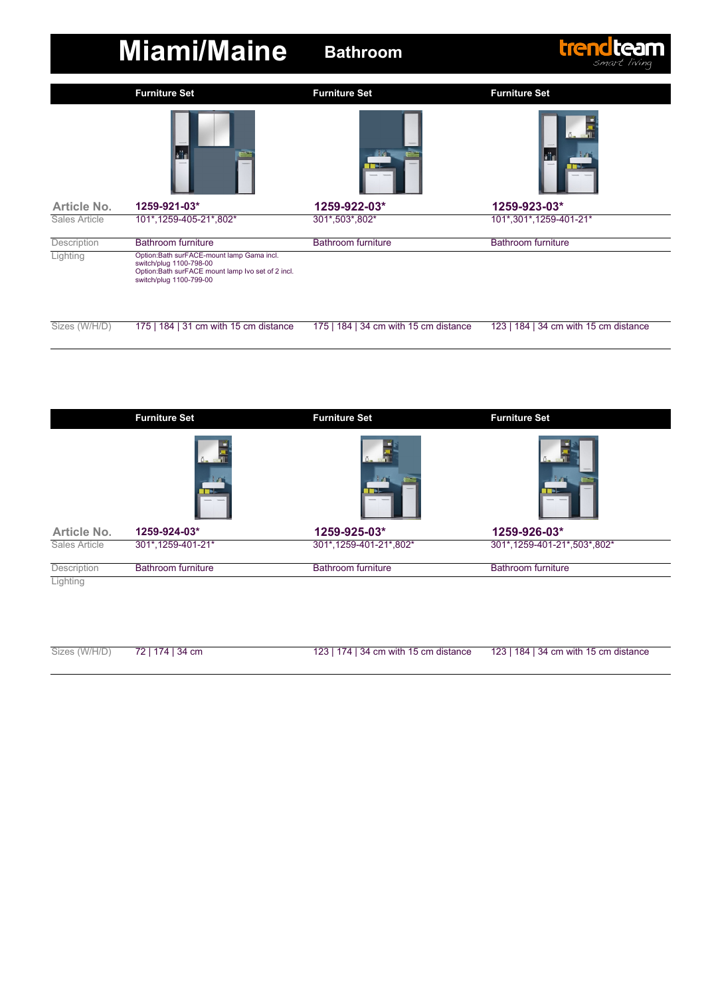|                    | <b>Miami/Maine</b>                                                                                                                                   | trendteam<br><b>Bathroom</b><br>smart living |                                       |  |
|--------------------|------------------------------------------------------------------------------------------------------------------------------------------------------|----------------------------------------------|---------------------------------------|--|
|                    | <b>Furniture Set</b>                                                                                                                                 | <b>Furniture Set</b>                         | <b>Furniture Set</b>                  |  |
| Article No.        | all n<br>1259-921-03*                                                                                                                                | 1259-922-03*                                 | h II<br>1259-923-03*                  |  |
| Sales Article      | 101*,1259-405-21*,802*                                                                                                                               | 301*,503*,802*                               | 101*,301*,1259-401-21*                |  |
| <b>Description</b> | <b>Bathroom furniture</b>                                                                                                                            | <b>Bathroom furniture</b>                    | <b>Bathroom furniture</b>             |  |
| Lighting           | Option:Bath surFACE-mount lamp Gama incl.<br>switch/plug 1100-798-00<br>Option:Bath surFACE mount lamp Ivo set of 2 incl.<br>switch/plug 1100-799-00 |                                              |                                       |  |
| Sizes (W/H/D)      | 175   184   31 cm with 15 cm distance                                                                                                                | 175   184   34 cm with 15 cm distance        | 123   184   34 cm with 15 cm distance |  |

|                    | <b>Furniture Set</b>      | <b>Furniture Set</b>      | <b>Furniture Set</b>        |  |
|--------------------|---------------------------|---------------------------|-----------------------------|--|
|                    |                           |                           |                             |  |
| <b>Article No.</b> | 1259-924-03*              | 1259-925-03*              | 1259-926-03*                |  |
| Sales Article      | 301*,1259-401-21*         | 301*,1259-401-21*,802*    | 301*,1259-401-21*,503*,802* |  |
| Description        | <b>Bathroom furniture</b> | <b>Bathroom furniture</b> | <b>Bathroom furniture</b>   |  |
| Lighting           |                           |                           |                             |  |

| Sizes (W/H/D) 72   174   34 cm | 123   174   34 cm with 15 cm distance | 123   184   34 cm with 15 cm distance |
|--------------------------------|---------------------------------------|---------------------------------------|

a<br>He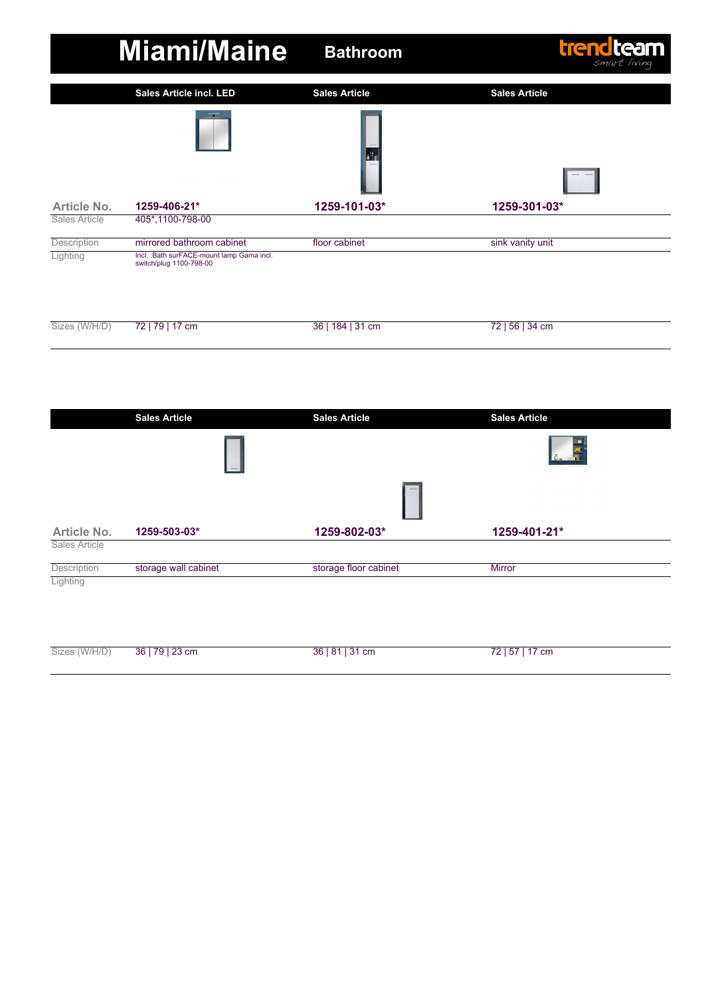

|                    | <b>Sales Article</b> | <b>Sales Article</b>  | <b>Sales Article</b> |
|--------------------|----------------------|-----------------------|----------------------|
|                    |                      |                       |                      |
|                    |                      |                       |                      |
| <b>Article No.</b> | 1259-503-03*         | 1259-802-03*          | 1259-401-21*         |
| Sales Article      |                      |                       |                      |
| Description        | storage wall cabinet | storage floor cabinet | <b>Mirror</b>        |
| Lighting           |                      |                       |                      |
|                    |                      |                       |                      |
|                    |                      |                       |                      |
|                    |                      |                       |                      |

36 | 81 | 31 cm

72 | 57 | 17 cm

Sizes (W/H/D)

36 | 79 | 23 cm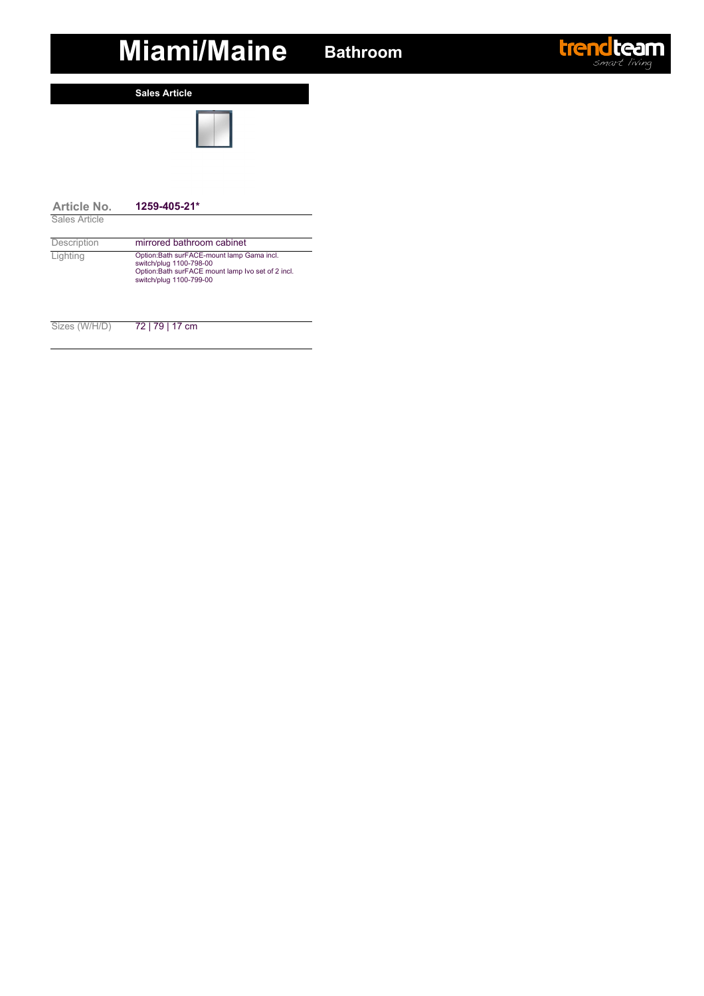**Sales Article**



| Article No.   | $1259 - 405 - 21*$                                                                                                                                   |
|---------------|------------------------------------------------------------------------------------------------------------------------------------------------------|
| Sales Article |                                                                                                                                                      |
| Description   | mirrored bathroom cabinet                                                                                                                            |
| Lighting      | Option:Bath surFACE-mount lamp Gama incl.<br>switch/plug 1100-798-00<br>Option:Bath surFACE mount lamp Ivo set of 2 incl.<br>switch/plug 1100-799-00 |
|               |                                                                                                                                                      |

Sizes (W/H/D) 72 | 79 | 17 cm

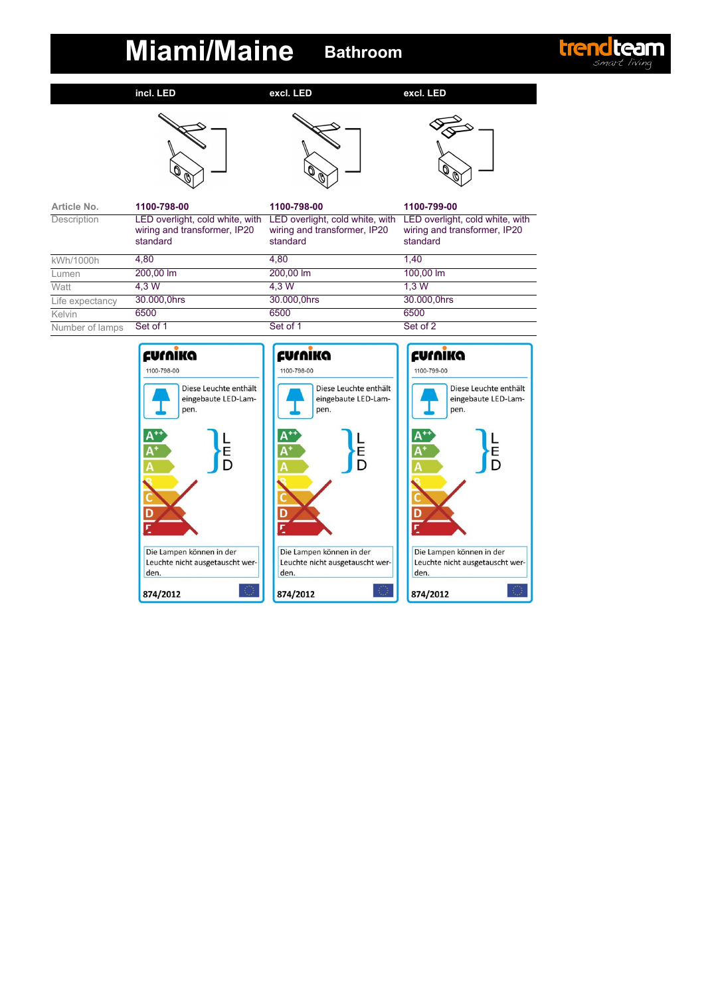

**incl. LED**

**excl. LED**

**excl. LED**







| Article No.        | 1100-798-00                                                                 | 1100-798-00                                                                 | 1100-799-00                                                                 |
|--------------------|-----------------------------------------------------------------------------|-----------------------------------------------------------------------------|-----------------------------------------------------------------------------|
| <b>Description</b> | LED overlight, cold white, with<br>wiring and transformer, IP20<br>standard | LED overlight, cold white, with<br>wiring and transformer, IP20<br>standard | LED overlight, cold white, with<br>wiring and transformer, IP20<br>standard |
| kWh/1000h          | 4.80                                                                        | 4.80                                                                        | 1.40                                                                        |
| Lumen              | 200,00 lm                                                                   | 200.00 lm                                                                   | 100.00 lm                                                                   |
| Watt               | 4.3 W                                                                       | 4.3 W                                                                       | 1.3W                                                                        |
| Life expectancy    | 30.000,0hrs                                                                 | 30.000,0hrs                                                                 | 30.000,0hrs                                                                 |
| Kelvin             | 6500                                                                        | 6500                                                                        | 6500                                                                        |
| Number of lamps    | Set of 1                                                                    | Set of 1                                                                    | Set of 2                                                                    |